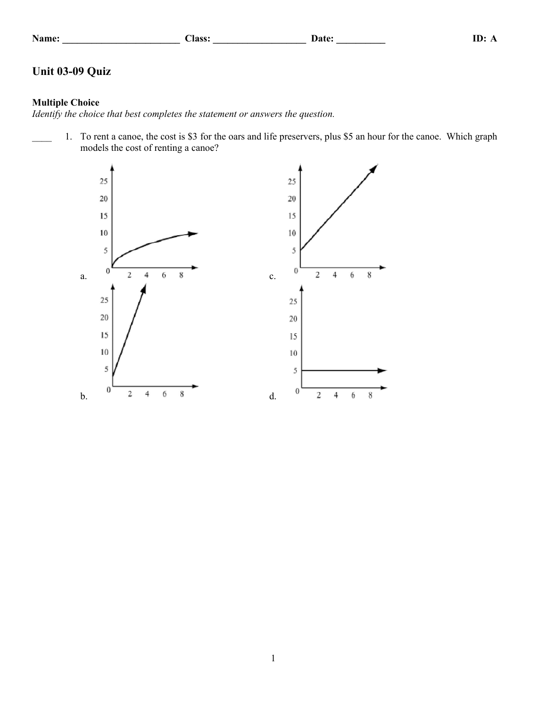|  | Name |  |
|--|------|--|
|  |      |  |

## **Name: \_\_\_\_\_\_\_\_\_\_\_\_\_\_\_\_\_\_\_\_\_\_\_\_ Class: \_\_\_\_\_\_\_\_\_\_\_\_\_\_\_\_\_\_\_ Date: \_\_\_\_\_\_\_\_\_\_ ID: A**

# **Unit 03-09 Quiz**

### **Multiple Choice**

*Identify the choice that best completes the statement or answers the question.*

1. To rent a canoe, the cost is \$3 for the oars and life preservers, plus \$5 an hour for the canoe. Which graph models the cost of renting a canoe?